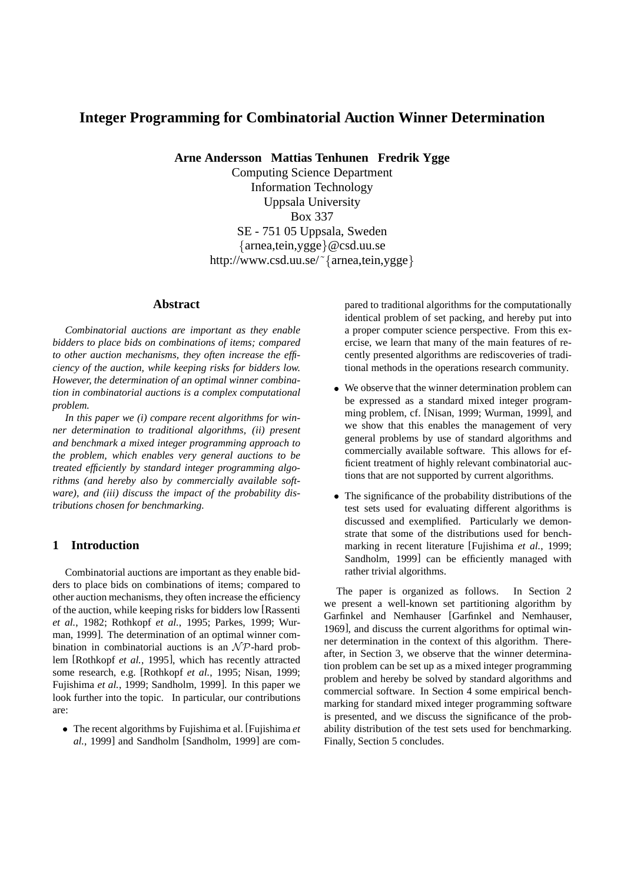# **Integer Programming for Combinatorial Auction Winner Determination**

**Arne Andersson Mattias Tenhunen Fredrik Ygge**

Computing Science Department Information Technology Uppsala University Box 337 SE - 751 05 Uppsala, Sweden arnea,tein,ygge @csd.uu.se http://www.csd.uu.se/~{arnea,tein,ygge}

## **Abstract**

*Combinatorial auctions are important as they enable bidders to place bids on combinations of items; compared to other auction mechanisms, they often increase the efficiency of the auction, while keeping risks for bidders low. However, the determination of an optimal winner combination in combinatorial auctions is a complex computational problem.*

*In this paper we (i) compare recent algorithms for winner determination to traditional algorithms, (ii) present and benchmark a mixed integer programming approach to the problem, which enables very general auctions to be treated efficiently by standard integer programming algorithms (and hereby also by commercially available software), and (iii) discuss the impact of the probability distributions chosen for benchmarking.*

## **1 Introduction**

Combinatorial auctions are important as they enable bidders to place bids on combinations of items; compared to other auction mechanisms, they often increase the efficiency of the auction, while keeping risks for bidders low [Rassenti *et al.*, 1982; Rothkopf *et al.*, 1995; Parkes, 1999; Wurman, 1999]. The determination of an optimal winner combination in combinatorial auctions is an  $\mathcal{NP}$ -hard problem [Rothkopf *et al.*, 1995], which has recently attracted some research, e.g. [Rothkopf *et al.*, 1995; Nisan, 1999; Fujishima *et al.*, 1999; Sandholm, 1999]. In this paper we look further into the topic. In particular, our contributions are:

The recent algorithms by Fujishima et al. [Fujishima *et al.*, 1999] and Sandholm [Sandholm, 1999] are compared to traditional algorithms for the computationally identical problem of set packing, and hereby put into a proper computer science perspective. From this exercise, we learn that many of the main features of recently presented algorithms are rediscoveries of tradi tional methods in the operations research community.

- We observe that the winner determination problem can be expressed as a standard mixed integer programming problem, cf. [Nisan, 1999; Wurman, 1999], and we show that this enables the management of very general problems by use of standard algorithms and commercially available software. This allows for efficient treatment of highly relevant combinatorial auc tions that are not supported by current algorithms.
- The significance of the probability distributions of the test sets used for evaluating different algorithms is discussed and exemplified. Particularly we demonstrate that some of the distributions used for benchmarking in recent literature [Fujishima *et al.*, 1999; Sandholm, 1999] can be efficiently managed with rather trivial algorithms.

The paper is organized as follows. In Section 2 we present a well-known set partitioning algorithm by Garfinkel and Nemhauser [Garfinkel and Nemhauser, 1969], and discuss the current algorithms for optimal winner determination in the context of this algorithm. Thereafter, in Section 3, we observe that the winner determination problem can be set up as a mixed integer programming problem and hereby be solved by standard algorithms and commercial software. In Section 4 some empirical benchmarking for standard mixed integer programming software is presented, and we discuss the significance of the probability distribution of the test sets used for benchmarking. Finally, Section 5 concludes.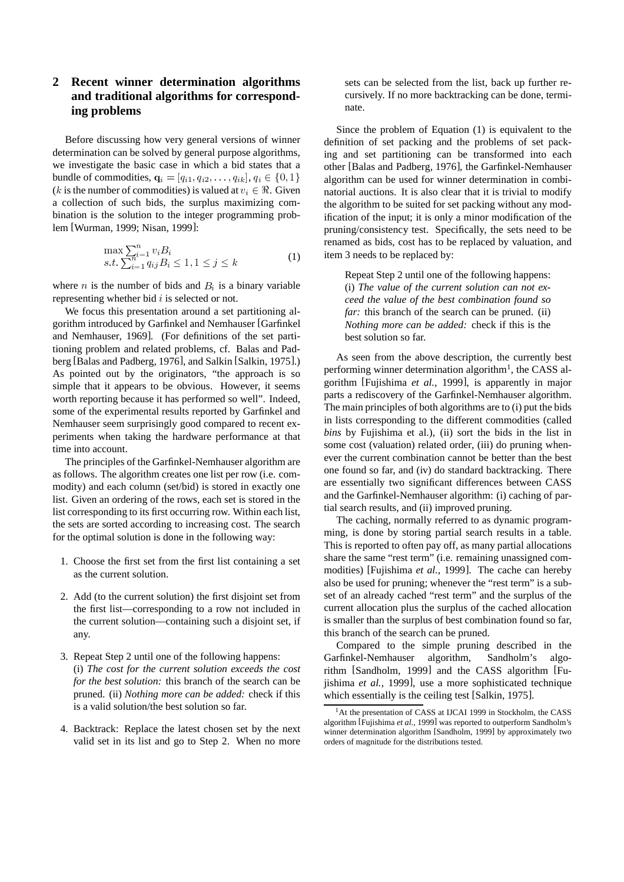## **2 Recent winner determination algorithms and traditional algorithms for corresponding problems**

Before discussing how very general versions of winner determination can be solved by general purpose algorithms, we investigate the basic case in which a bid states that a bundle of commodities,  $\mathbf{q}_i = [q_{i1}, q_{i2}, \dots, q_{ik}], q_i \in \{0, 1\}$  also (*k* is the number of commodities) is valued at  $v_i \in \mathbb{R}$ . Given a collection of such bids, the surplus maximizing combination is the solution to the integer programming problem [Wurman, 1999; Nisan, 1999]:

$$
\max_{s,t} \sum_{i=1}^{n} v_i B_i s.t. \sum_{i=1}^{n} q_{ij} B_i \le 1, 1 \le j \le k
$$
\n(1)

where  $n$  is the number of bids and  $B_i$  is a binary variable representing whether bid  $i$  is selected or not.

We focus this presentation around a set partitioning algorithm introduced by Garfinkel and Nemhauser [Garfinkel and Nemhauser, 1969]. (For definitions of the set partitioning problem and related problems, cf. Balas and Padberg [Balas and Padberg, 1976], and Salkin [Salkin, 1975].) As pointed out by the originators, "the approach is so simple that it appears to be obvious. However, it seems worth reporting because it has performed so well". Indeed, some of the experimental results reported by Garfinkel and Nemhauser seem surprisingly good compared to recent experiments when taking the hardware performance at that time into account.

The principles of the Garfinkel-Nemhauser algorithm are as follows. The algorithm creates one list per row (i.e. commodity) and each column (set/bid) is stored in exactly one list. Given an ordering of the rows, each set is stored in the list corresponding to its first occurring row. Within each list, the sets are sorted according to increasing cost. The search for the optimal solution is done in the following way:

- 1. Choose the first set from the first list containing a set as the current solution.
- 2. Add (to the current solution) the first disjoint set from the first list—corresponding to a row not included in the current solution—containing such a disjoint set, if any.
- 3. Repeat Step 2 until one of the following happens: (i) *The cost for the current solution exceeds the cost for the best solution:* this branch of the search can be pruned. (ii) *Nothing more can be added:* check if this is a valid solution/the best solution so far.
- 4. Backtrack: Replace the latest chosen set by the next valid set in its list and go to Step 2. When no more

sets can be selected from the list, back up further recursively. If no more backtracking can be done, terminate.

Since the problem of Equation (1) is equivalent to the definition of set packing and the problems of set packing and set partitioning can be transformed into each other [Balas and Padberg, 1976], the Garfinkel-Nemhauser algorithm can be used for winner determination in combinatorial auctions. It is also clear that it is trivial to modify the algorithm to be suited for set packing without any modification of the input; it is only a minor modification of the pruning/consistency test. Specifically, the sets need to be renamed as bids, cost has to be replaced by valuation, and item 3 needs to be replaced by:

Repeat Step 2 until one of the following happens: (i) *The value of the current solution can not exceed the value of the best combination found so far:* this branch of the search can be pruned. (ii) *Nothing more can be added:* check if this is the best solution so far.

As seen from the above description, the currently best performing winner determination algorithm<sup>1</sup>, the CASS algorithm [Fujishima *et al.*, 1999], is apparently in major parts a rediscovery of the Garfinkel-Nemhauser algorithm. The main principles of both algorithms are to (i) put the bids in lists corresponding to the different commodities (called *bins* by Fujishima et al.), (ii) sort the bids in the list in some cost (valuation) related order, (iii) do pruning whenever the current combination cannot be better than the best one found so far, and (iv) do standard backtracking. There are essentially two significant differences between CASS and the Garfinkel-Nemhauser algorithm: (i) caching of partial search results, and (ii) improved pruning.

The caching, normally referred to as dynamic programming, is done by storing partial search results in a table. This is reported to often pay off, as many partial allocations share the same "rest term" (i.e. remaining unassigned commodities) [Fujishima *et al.*, 1999]. The cache can hereby also be used for pruning; whenever the "rest term" is a subset of an already cached "rest term" and the surplus of the current allocation plus the surplus of the cached allocation is smaller than the surplus of best combination found so far, this branch of the search can be pruned.

Compared to the simple pruning described in the Garfinkel-Nemhauser algorithm, Sandholm's algorithm [Sandholm, 1999] and the CASS algorithm [Fujishima *et al.*, 1999], use a more sophisticated technique which essentially is the ceiling test [Salkin, 1975].

<sup>&</sup>lt;sup>1</sup>At the presentation of CASS at IJCAI 1999 in Stockholm, the CASS algorithm [Fujishima *et al.*, 1999] was reported to outperform Sandholm's winner determination algorithm [Sandholm, 1999] by approximately two orders of magnitude for the distributions tested.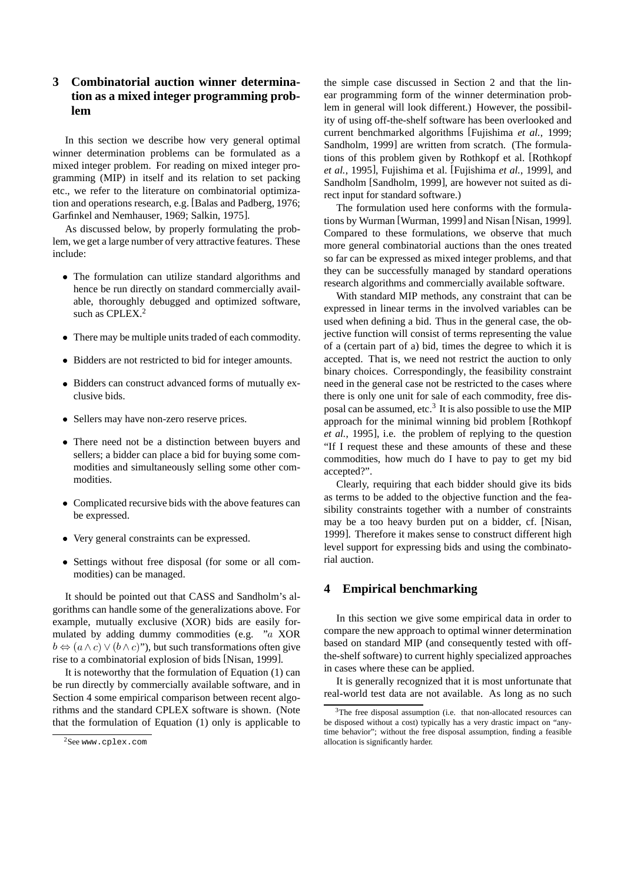# **3 Combinatorial auction winner determination as a mixed integer programming problem**

In this section we describe how very general optimal winner determination problems can be formulated as a mixed integer problem. For reading on mixed integer programming (MIP) in itself and its relation to set packing etc., we refer to the literature on combinatorial optimization and operations research, e.g. [Balas and Padberg, 1976; Garfinkel and Nemhauser, 1969; Salkin, 1975].

As discussed below, by properly formulating the problem, we get a large number of very attractive features. These include:

- The formulation can utilize standard algorithms and hence be run directly on standard commercially available, thoroughly debugged and optimized software, such as CPLEX.<sup>2</sup>
- There may be multiple units traded of each commodity.
- Bidders are not restricted to bid for integer amounts.
- Bidders can construct advanced forms of mutually exclusive bids.
- Sellers may have non-zero reserve prices.
- There need not be a distinction between buyers and sellers; a bidder can place a bid for buying some commodities and simultaneously selling some other commodities.
- Complicated recursive bids with the above features can be expressed.
- Very general constraints can be expressed.
- Settings without free disposal (for some or all commodities) can be managed.

It should be pointed out that CASS and Sandholm's algorithms can handle some of the generalizations above. For example, mutually exclusive (XOR) bids are easily formulated by adding dummy commodities (e.g.  $"a$  XOR  $b \Leftrightarrow (a \wedge c) \vee (b \wedge c)$ "), but such transformations often give rise to a combinatorial explosion of bids [Nisan, 1999].

It is noteworthy that the formulation of Equation (1) can be run directly by commercially available software, and in Section 4 some empirical comparison between recent algorithms and the standard CPLEX software is shown. (Note that the formulation of Equation (1) only is applicable to the simple case discussed in Section 2 and that the linear programming form of the winner determination problem in general will look different.) However, the possibility of using off-the-shelf software has been overlooked and current benchmarked algorithms [Fujishima *et al.*, 1999; Sandholm, 1999] are written from scratch. (The formulations of this problem given by Rothkopf et al. [Rothkopf *et al.*, 1995], Fujishima et al. [Fujishima *et al.*, 1999], and Sandholm [Sandholm, 1999], are however not suited as direct input for standard software.)

The formulation used here conforms with the formulations by Wurman [Wurman, 1999] and Nisan [Nisan, 1999]. Compared to these formulations, we observe that much more general combinatorial auctions than the ones treated so far can be expressed as mixed integer problems, and that they can be successfully managed by standard operations research algorithms and commercially available software.

With standard MIP methods, any constraint that can be expressed in linear terms in the involved variables can be used when defining a bid. Thus in the general case, the objective function will consist of terms representing the value of a (certain part of a) bid, times the degree to which it is accepted. That is, we need not restrict the auction to only binary choices. Correspondingly, the feasibility constraint need in the general case not be restricted to the cases where there is only one unit for sale of each commodity, free disposal can be assumed, etc.<sup>3</sup> It is also possible to use the MIP approach for the minimal winning bid problem [Rothkopf *et al.*, 1995], i.e. the problem of replying to the question "If I request these and these amounts of these and these commodities, how much do I have to pay to get my bid accepted?".

Clearly, requiring that each bidder should give its bids as terms to be added to the objective function and the feasibility constraints together with a number of constraints may be a too heavy burden put on a bidder, cf. [Nisan, 1999]. Therefore it makes sense to construct different high level support for expressing bids and using the combinatorial auction.

## **4 Empirical benchmarking**

In this section we give some empirical data in order to compare the new approach to optimal winner determination based on standard MIP (and consequently tested with offthe-shelf software) to current highly specialized approaches in cases where these can be applied.

It is generally recognized that it is most unfortunate that real-world test data are not available. As long as no such

<sup>2</sup>See www.cplex.com

<sup>&</sup>lt;sup>3</sup>The free disposal assumption (i.e. that non-allocated resources can be disposed without a cost) typically has a very drastic impact on "anytime behavior"; without the free disposal assumption, finding a feasible allocation is significantly harder.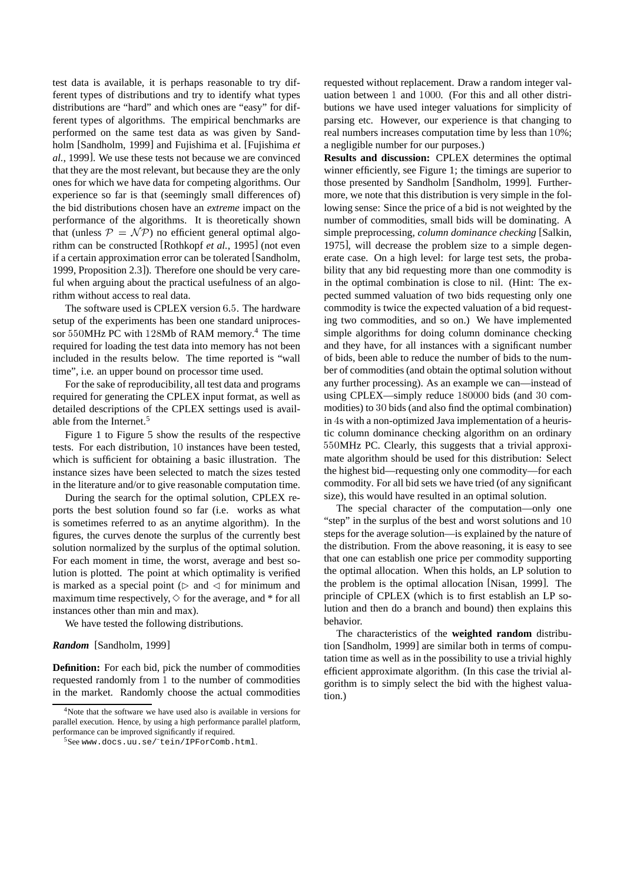test data is available, it is perhaps reasonable to try different types of distributions and try to identify what types distributions are "hard" and which ones are "easy" for different types of algorithms. The empirical benchmarks are performed on the same test data as was given by Sandholm [Sandholm, 1999] and Fujishima et al. [Fujishima *et al.*, 1999]. We use these tests not because we are convinced that they are the most relevant, but because they are the only ones for which we have data for competing algorithms. Our experience so far is that (seemingly small differences of) the bid distributions chosen have an *extreme* impact on the performance of the algorithms. It is theoretically shown that (unless  $P = \mathcal{NP}$ ) no efficient general optimal algorithm can be constructed [Rothkopf *et al.*, 1995] (not even if a certain approximation error can be tolerated [Sandholm, 1999, Proposition 2.3]). Therefore one should be very careful when arguing about the practical usefulness of an algorithm without access to real data.

The software used is CPLEX version 6.5. The hardware setup of the experiments has been one standard uniprocessor  $550$ MHz PC with  $128$ Mb of RAM memory.<sup>4</sup> The time required for loading the test data into memory has not been included in the results below. The time reported is "wall time", i.e. an upper bound on processor time used.

For the sake of reproducibility, all test data and programs required for generating the CPLEX input format, as well as detailed descriptions of the CPLEX settings used is available from the Internet.<sup>5</sup>

Figure 1 to Figure 5 show the results of the respective tests. For each distribution, 10 instances have been tested, which is sufficient for obtaining a basic illustration. The instance sizes have been selected to match the sizes tested in the literature and/or to give reasonable computation time.

During the search for the optimal solution, CPLEX reports the best solution found so far (i.e. works as what is sometimes referred to as an anytime algorithm). In the figures, the curves denote the surplus of the currently best solution normalized by the surplus of the optimal solution. For each moment in time, the worst, average and best solution is plotted. The point at which optimality is verified is marked as a special point ( $\triangleright$  and  $\triangleleft$  for minimum and maximum time respectively,  $\diamond$  for the average, and  $*$  for all instances other than min and max).

We have tested the following distributions.

#### *Random* [Sandholm, 1999]

**Definition:** For each bid, pick the number of commodities requested randomly from 1 to the number of commodities in the market. Randomly choose the actual commodities requested without replacement. Draw a random integer valuation between  $1$  and  $1000$ . (For this and all other distributions we have used integer valuations for simplicity of parsing etc. However, our experience is that changing to real numbers increases computation time by less than 10%; a negligible number for our purposes.)

**Results and discussion:** CPLEX determines the optimal winner efficiently, see Figure 1; the timings are superior to those presented by Sandholm [Sandholm, 1999]. Furthermore, we note that this distribution is very simple in the following sense: Since the price of a bid is not weighted by the number of commodities, small bids will be dominating. A simple preprocessing, *column dominance checking* [Salkin, 1975], will decrease the problem size to a simple degenerate case. On a high level: for large test sets, the probability that any bid requesting more than one commodity is in the optimal combination is close to nil. (Hint: The expected summed valuation of two bids requesting only one commodity is twice the expected valuation of a bid requesting two commodities, and so on.) We have implemented simple algorithms for doing column dominance checking and they have, for all instances with a significant number of bids, been able to reduce the number of bids to the number of commodities (and obtain the optimal solution without any further processing). As an example we can—instead of using CPLEX—simply reduce  $180000$  bids (and  $30$  commodities) to  $30$  bids (and also find the optimal combination) in 4s with a non-optimized Java implementation of a heuristic column dominance checking algorithm on an ordinary 550MHz PC. Clearly, this suggests that a trivial approximate algorithm should be used for this distribution: Select the highest bid—requesting only one commodity—for each commodity. For all bid sets we have tried (of any significant size), this would have resulted in an optimal solution.

The special character of the computation—only one "step" in the surplus of the best and worst solutions and  $10$ steps for the average solution—is explained by the nature of the distribution. From the above reasoning, it is easy to see that one can establish one price per commodity supporting the optimal allocation. When this holds, an LP solution to the problem is the optimal allocation [Nisan, 1999]. The principle of CPLEX (which is to first establish an LP solution and then do a branch and bound) then explains this behavior.

The characteristics of the **weighted random** distribution [Sandholm, 1999] are similar both in terms of computation time as well as in the possibility to use a trivial highly efficient approximate algorithm. (In this case the trivial algorithm is to simply select the bid with the highest valuation.)

<sup>&</sup>lt;sup>4</sup>Note that the software we have used also is available in versions for parallel execution. Hence, by using a high performance parallel platform, performance can be improved significantly if required.

 $5$ See www.docs.uu.se/ $\text{Tein/IPForComb.html}$ .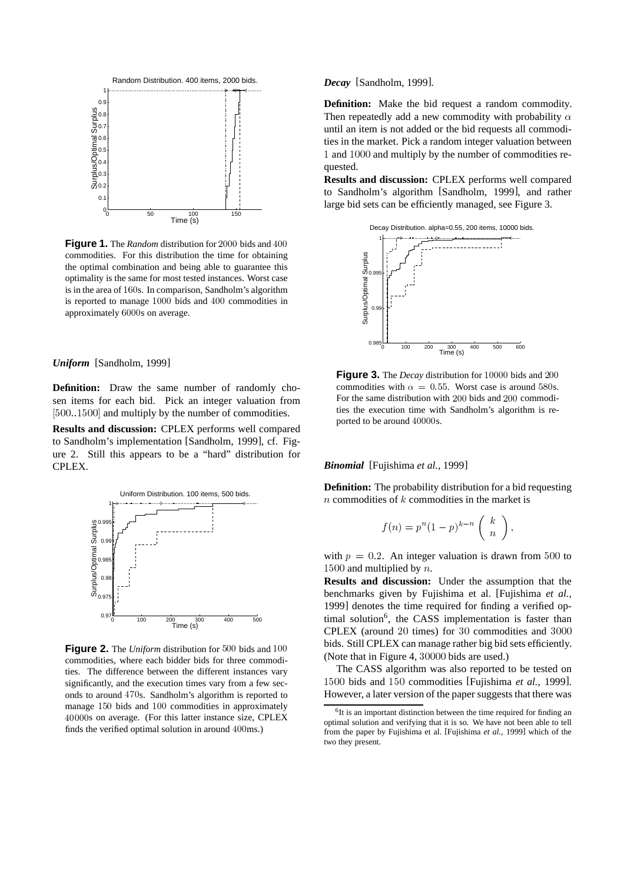

**Figure 1.** The *Random* distribution for 2000 bids and 400 commodities. For this distribution the time for obtaining the optimal combination and being able to guarantee this optimality is the same for most tested instances. Worst case is in the area of 160s. In comparison, Sandholm's algorithm is reported to manage 1000 bids and 400 commodities in approximately 6000s on average.

*Uniform* [Sandholm, 1999]

**Definition:** Draw the same number of randomly chosen items for each bid. Pick an integer valuation from  $[500..1500]$  and multiply by the number of commodities.

**Results and discussion:** CPLEX performs well compared to Sandholm's implementation [Sandholm, 1999], cf. Figure 2. Still this appears to be a "hard" distribution for CPLEX.



**Figure 2.** The *Uniform* distribution for 500 bids and 100 commodities, where each bidder bids for three commodities. The difference between the different instances vary significantly, and the execution times vary from a few seconds to around 470s. Sandholm's algorithm is reported to manage 150 bids and 100 commodities in approximately 40000s on average. (For this latter instance size, CPLEX finds the verified optimal solution in around  $400$ ms.)

*Decay* [Sandholm, 1999].

**Definition:** Make the bid request a random commodity. Then repeatedly add a new commodity with probability  $\alpha$ until an item is not added or the bid requests all commodities in the market. Pick a random integer valuation between 1 and 1000 and multiply by the number of commodities requested.

**Results and discussion:** CPLEX performs well compared to Sandholm's algorithm [Sandholm, 1999], and rather large bid sets can be efficiently managed, see Figure 3.



**Figure 3.** The *Decay* distribution for 10000 bids and 200 commodities with  $\alpha = 0.55$ . Worst case is around 580s. For the same distribution with  $200$  bids and  $200$  commodities the execution time with Sandholm's algorithm is reported to be around  $40000$ s.

#### *Binomial* [Fujishima *et al.*, 1999]

**Definition:** The probability distribution for a bid requesting n commodities of  $k$  commodities in the market is

$$
f(n) = p^{n}(1-p)^{k-n} \binom{k}{n},
$$

with  $p = 0.2$ . An integer valuation is drawn from 500 to 1500 and multiplied by  $n$ .

**Results and discussion:** Under the assumption that the benchmarks given by Fujishima et al. [Fujishima *et al.*, 1999] denotes the time required for finding a verified optimal solution<sup>6</sup>, the CASS implementation is faster than CPLEX (around  $20$  times) for  $30$  commodities and  $3000$ bids. Still CPLEX can manage rather big bid sets efficiently. (Note that in Figure 4,  $30000$  bids are used.)

The CASS algorithm was also reported to be tested on 1500 bids and 150 commodities [Fujishima et al., 1999]. However, a later version of the paper suggests that there was

<sup>&</sup>lt;sup>6</sup>It is an important distinction between the time required for finding an optimal solution and verifying that it is so. We have not been able to tell from the paper by Fujishima et al. [Fujishima *et al.*, 1999] which of the two they present.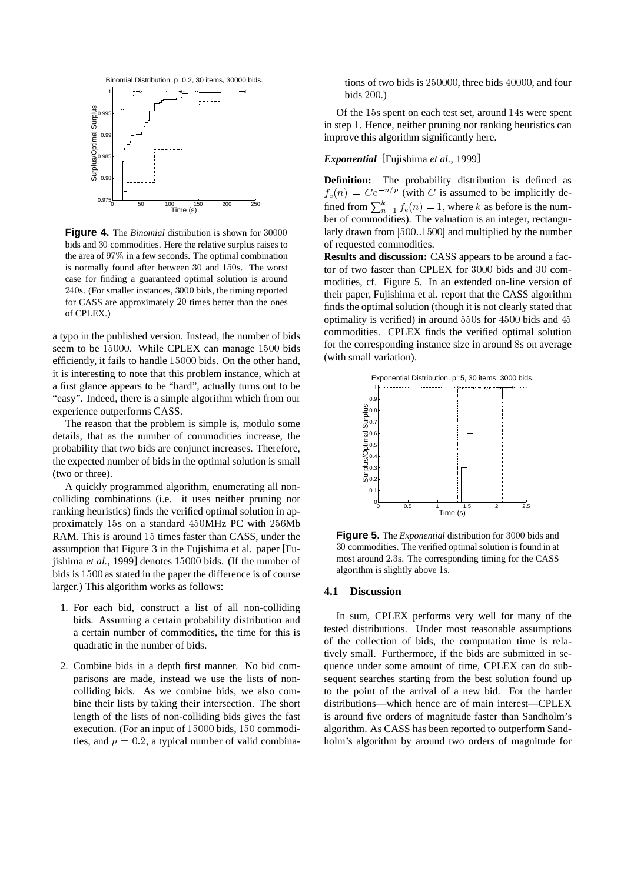



**Figure 4.** The *Binomial* distribution is shown for 30000 bids and 30 commodities. Here the relative surplus raises to the area of  $97\%$  in a few seconds. The optimal combination is normally found after between 30 and 150s. The worst case for finding a guaranteed optimal solution is around  $240s$ . (For smaller instances,  $3000$  bids, the timing reported for CASS are approximately 20 times better than the ones of CPLEX.)

a typo in the published version. Instead, the number of bids seem to be 15000. While CPLEX can manage 1500 bids efficiently, it fails to handle 15000 bids. On the other hand, it is interesting to note that this problem instance, which at a first glance appears to be "hard", actually turns out to be "easy". Indeed, there is a simple algorithm which from our experience outperforms CASS.

The reason that the problem is simple is, modulo some details, that as the number of commodities increase, the probability that two bids are conjunct increases. Therefore, the expected number of bids in the optimal solution is small (two or three).

A quickly programmed algorithm, enumerating all noncolliding combinations (i.e. it uses neither pruning nor ranking heuristics) finds the verified optimal solution in approximately  $15s$  on a standard  $450MHz$  PC with  $256Mb$ RAM. This is around 15 times faster than CASS, under the assumption that Figure 3 in the Fujishima et al. paper [Fujishima *et al.*, 1999] denotes 15000 bids. (If the number of bids is 1500 as stated in the paper the difference is of course larger.) This algorithm works as follows:

- 1. For each bid, construct a list of all non-colliding bids. Assuming a certain probability distribution and a certain number of commodities, the time for this is quadratic in the number of bids.
- 2. Combine bids in a depth first manner. No bid comparisons are made, instead we use the lists of noncolliding bids. As we combine bids, we also combine their lists by taking their intersection. The short length of the lists of non-colliding bids gives the fast execution. (For an input of  $15000$  bids,  $150$  commodities, and  $p = 0.2$ , a typical number of valid combina-

tions of two bids is  $250000$ , three bids  $40000$ , and four bids  $200.$ )

Of the  $15s$  spent on each test set, around  $14s$  were spent in step 1. Hence, neither pruning nor ranking heuristics can improve this algorithm significantly here.

#### *Exponential* [Fujishima *et al.*, 1999]

**Definition:** The probability distribution is defined as  $f_e(n) = Ce^{-n/p}$  (with C is assumed to be implicitly defined from  $\sum_{n=1}^{k} f_e(n) = 1$ , where k as before is the number of commodities). The valuation is an integer, rectangularly drawn from  $[500..1500]$  and multiplied by the number of requested commodities.

**Results and discussion:** CASS appears to be around a factor of two faster than CPLEX for 3000 bids and 30 commodities, cf. Figure 5. In an extended on-line version of their paper, Fujishima et al. report that the CASS algorithm finds the optimal solution (though it is not clearly stated that optimality is verified) in around  $550s$  for  $4500$  bids and  $45$ commodities. CPLEX finds the verified optimal solution for the corresponding instance size in around 8s on average (with small variation).



**Figure 5.** The *Exponential* distribution for 3000 bids and 30 commodities. The verified optimal solution is found in at most around  $2.3s$ . The corresponding timing for the CASS algorithm is slightly above 1s.

#### **4.1 Discussion**

In sum, CPLEX performs very well for many of the tested distributions. Under most reasonable assumptions of the collection of bids, the computation time is relatively small. Furthermore, if the bids are submitted in sequence under some amount of time, CPLEX can do subsequent searches starting from the best solution found up to the point of the arrival of a new bid. For the harder distributions—which hence are of main interest—CPLEX is around five orders of magnitude faster than Sandholm's algorithm. As CASS has been reported to outperform Sandholm's algorithm by around two orders of magnitude for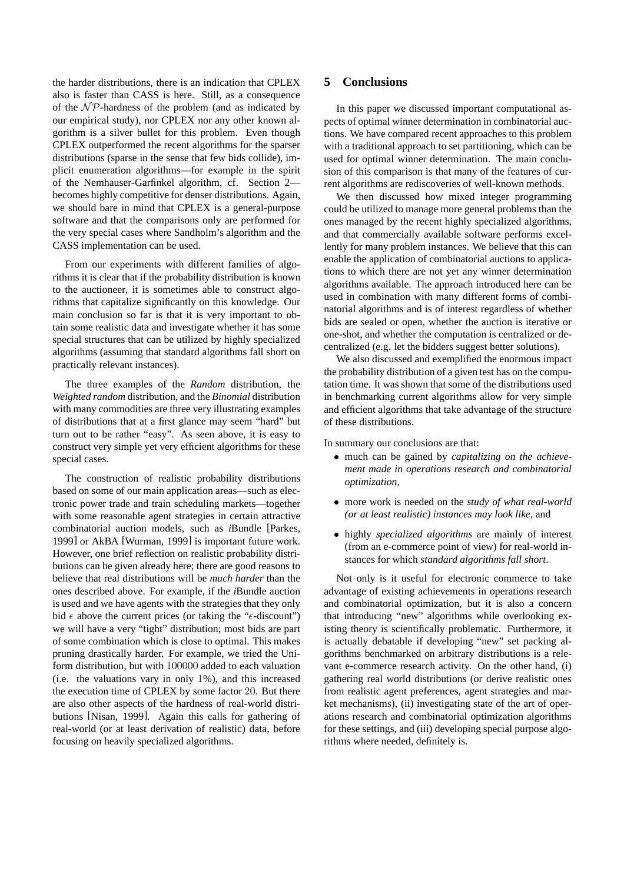the harder distributions, there is an indication that CPLEX also is faster than CASS is here. Still, as a consequence of the  $\mathcal{NP}$ -hardness of the problem (and as indicated by our empirical study), nor CPLEX nor any other known algorithm is a silver bullet for this problem. Even though CPLEX outperformed the recent algorithms for the sparser distributions (sparse in the sense that few bids collide), implicit enumeration algorithms—for example in the spirit of the Nemhauser-Garfinkel algorithm, cf. Section 2 becomes highly competitive for denser distributions. Again, we should bare in mind that CPLEX is a general-purpose software and that the comparisons only are performed for the very special cases where Sandholm's algorithm and the CASS implementation can be used.

From our experiments with different families of algorithms it is clear that if the probability distribution is known to the auctioneer, it is sometimes able to construct algorithms that capitalize significantly on this knowledge. Our main conclusion so far is that it is very important to obtain some realistic data and investigate whether it has some special structures that can be utilized by highly specialized algorithms (assuming that standard algorithms fall short on practically relevant instances).

The three examples of the *Random* distribution, the *Weighted random* distribution, and the *Binomial* distribution with many commodities are three very illustrating examples of distributions that at a first glance may seem "hard" but turn out to be rather "easy". As seen above, it is easy to construct very simple yet very efficient algorithms for these special cases.

The construction of realistic probability distributions based on some of our main application areas—such as electronic power trade and train scheduling markets—together with some reasonable agent strategies in certain attractive combinatorial auction models, such as *i*Bundle [Parkes, 1999] or AkBA [Wurman, 1999] is important future work. However, one brief reflection on realistic probability distributions can be given already here; there are good reasons to believe that real distributions will be *much harder* than the ones described above. For example, if the *i*Bundle auction is used and we have agents with the strategies that they only bid  $\epsilon$  above the current prices (or taking the " $\epsilon$ -discount") we will have a very "tight" distribution; most bids are part of some combination which is close to optimal. This makes pruning drastically harder. For example, we tried the Uniform distribution, but with  $100000$  added to each valuation  $(i.e.$  the valuations vary in only  $1\%$ ), and this increased the execution time of CPLEX by some factor  $20$ . But there are also other aspects of the hardness of real-world distributions [Nisan, 1999]. Again this calls for gathering of real-world (or at least derivation of realistic) data, before focusing on heavily specialized algorithms.

## **5 Conclusions**

In this paper we discussed important computational aspects of optimal winner determination in combinatorial auctions. We have compared recent approaches to this problem with a traditional approach to set partitioning, which can be used for optimal winner determination. The main conclusion of this comparison is that many of the features of current algorithms are rediscoveries of well-known methods.

We then discussed how mixed integer programming could be utilized to manage more general problems than the ones managed by the recent highly specialized algorithms, and that commercially available software performs excellently for many problem instances. We believe that this can enable the application of combinatorial auctions to applications to which there are not yet any winner determination algorithms available. The approach introduced here can be used in combination with many different forms of combinatorial algorithms and is of interest regardless of whether bids are sealed or open, whether the auction is iterative or one-shot, and whether the computation is centralized or decentralized (e.g. let the bidders suggest better solutions).

We also discussed and exemplified the enormous impact the probability distribution of a given test has on the computation time. It was shown that some of the distributions used in benchmarking current algorithms allow for very simple and efficient algorithms that take advantage of the structure of these distributions.

In summary our conclusions are that:

- much can be gained by *capitalizing on the achievement made in operations research and combinatorial*  $\blacksquare$  . The contract of the contract of the contract of the contract of the contract of the contract of the contract of the contract of the contract of the contract of the contract of the contract of the contract of the *optimization*,
- more work is needed on the *study of what real-world (or at least realistic) instances may look like*, and
- highly *specialized algorithms* are mainly of interest (from an e-commerce point of view) for real-world instances for which *standard algorithms fall short*.

Not only is it useful for electronic commerce to take advantage of existing achievements in operations research and combinatorial optimization, but it is also a concern that introducing "new" algorithms while overlooking existing theory is scientifically problematic. Furthermore, it is actually debatable if developing "new" set packing algorithms benchmarked on arbitrary distributions is a relevant e-commerce research activity. On the other hand, (i) gathering real world distributions (or derive realistic ones from realistic agent preferences, agent strategies and market mechanisms), (ii) investigating state of the art of operations research and combinatorial optimization algorithms for these settings, and (iii) developing special purpose algorithms where needed, definitely is.